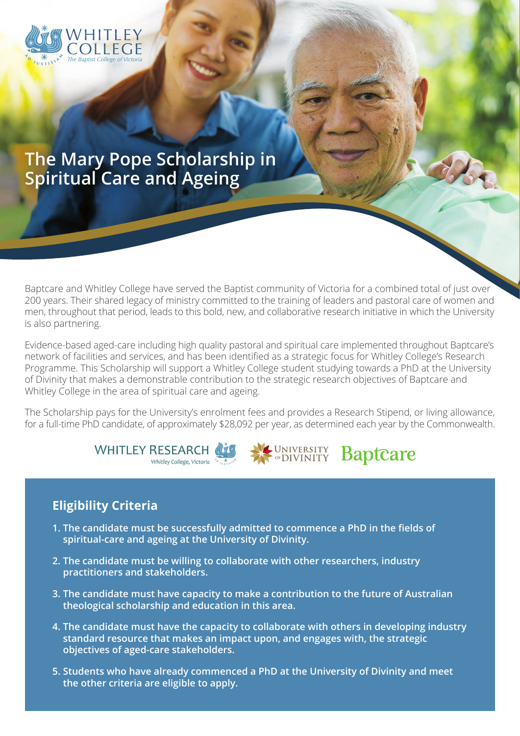

# **The Mary Pope Scholarship in Spiritual Care and Ageing**

Baptcare and Whitley College have served the Baptist community of Victoria for a combined total of just over 200 years. Their shared legacy of ministry committed to the training of leaders and pastoral care of women and men, throughout that period, leads to this bold, new, and collaborative research initiative in which the University is also partnering.

Evidence-based aged-care including high quality pastoral and spiritual care implemented throughout Baptcare's network of facilities and services, and has been identified as a strategic focus for Whitley College's Research Programme. This Scholarship will support a Whitley College student studying towards a PhD at the University of Divinity that makes a demonstrable contribution to the strategic research objectives of Baptcare and Whitley College in the area of spiritual care and ageing.

The Scholarship pays for the University's enrolment fees and provides a Research Stipend, or living allowance, for a full-time PhD candidate, of approximately \$28,092 per year, as determined each year by the Commonwealth.

**Baptcare** 





#### **Eligibility Criteria**

- **1. The candidate must be successfully admitted to commence a PhD in the fields of spiritual-care and ageing at the University of Divinity.**
- **2. The candidate must be willing to collaborate with other researchers, industry practitioners and stakeholders.**
- **3. The candidate must have capacity to make a contribution to the future of Australian theological scholarship and education in this area.**
- **4. The candidate must have the capacity to collaborate with others in developing industry standard resource that makes an impact upon, and engages with, the strategic objectives of aged-care stakeholders.**
- **5. Students who have already commenced a PhD at the University of Divinity and meet the other criteria are eligible to apply.**